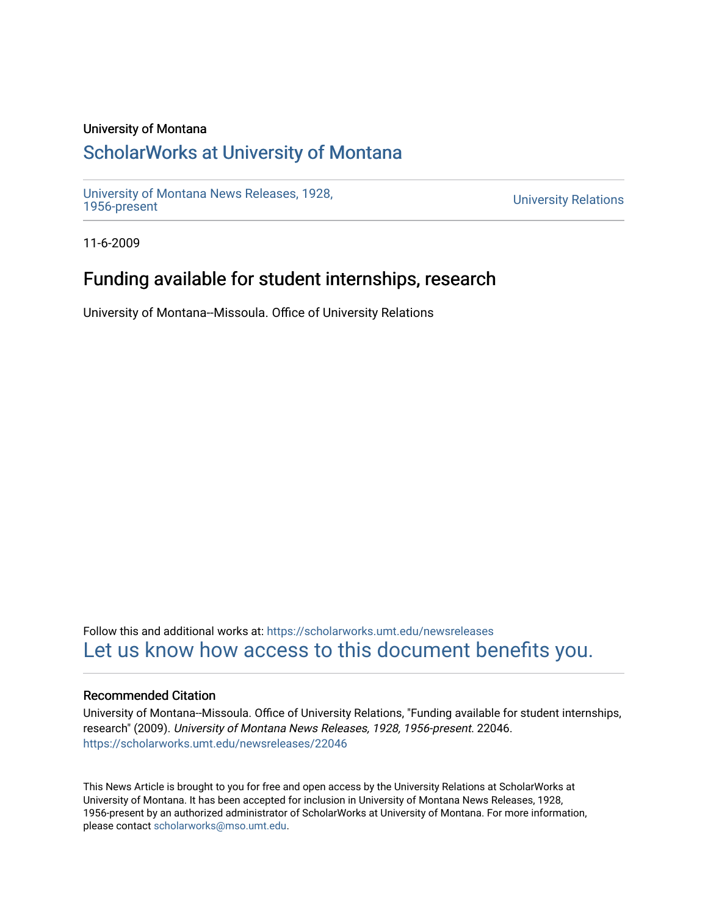#### University of Montana

## [ScholarWorks at University of Montana](https://scholarworks.umt.edu/)

[University of Montana News Releases, 1928,](https://scholarworks.umt.edu/newsreleases) 

**University Relations** 

11-6-2009

## Funding available for student internships, research

University of Montana--Missoula. Office of University Relations

Follow this and additional works at: [https://scholarworks.umt.edu/newsreleases](https://scholarworks.umt.edu/newsreleases?utm_source=scholarworks.umt.edu%2Fnewsreleases%2F22046&utm_medium=PDF&utm_campaign=PDFCoverPages) [Let us know how access to this document benefits you.](https://goo.gl/forms/s2rGfXOLzz71qgsB2) 

#### Recommended Citation

University of Montana--Missoula. Office of University Relations, "Funding available for student internships, research" (2009). University of Montana News Releases, 1928, 1956-present. 22046. [https://scholarworks.umt.edu/newsreleases/22046](https://scholarworks.umt.edu/newsreleases/22046?utm_source=scholarworks.umt.edu%2Fnewsreleases%2F22046&utm_medium=PDF&utm_campaign=PDFCoverPages) 

This News Article is brought to you for free and open access by the University Relations at ScholarWorks at University of Montana. It has been accepted for inclusion in University of Montana News Releases, 1928, 1956-present by an authorized administrator of ScholarWorks at University of Montana. For more information, please contact [scholarworks@mso.umt.edu.](mailto:scholarworks@mso.umt.edu)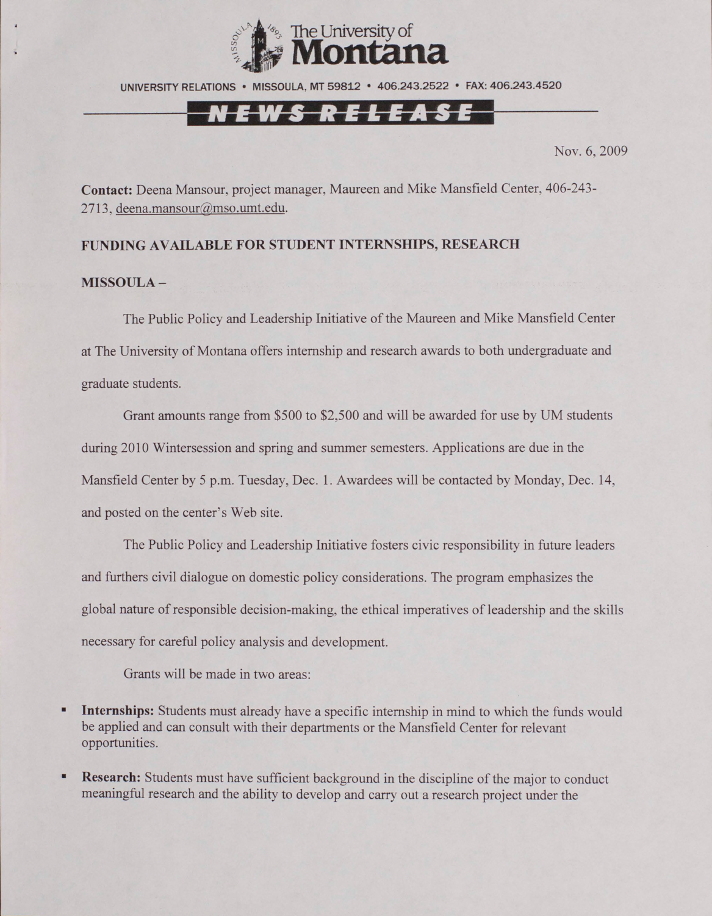

UNIVERSITY RELATIONS • MISSOULA, MT 59812 • 406.243.2522 • FAX: 406.243.4520

# VEWS RELEASE

Nov. 6, 2009

**Contact:** Deena Mansour, project manager, Maureen and Mike Mansfield Center, 406-243- 2713, [deena.mansour@mso.umt.edu](mailto:deena.mansour@mso.umt.edu).

### **FUNDING AVAILABLE FOR STUDENT INTERNSHIPS, RESEARCH**

### **MISSOULA -**

The Public Policy and Leadership Initiative of the Maureen and Mike Mansfield Center at The University of Montana offers internship and research awards to both undergraduate and graduate students.

Grant amounts range from \$500 to \$2,500 and will be awarded for use by UM students during 2010 Wintersession and spring and summer semesters. Applications are due in the Mansfield Center by 5 p.m. Tuesday, Dec. 1. Awardees will be contacted by Monday, Dec. 14, and posted on the center's Web site.

The Public Policy and Leadership Initiative fosters civic responsibility in future leaders and furthers civil dialogue on domestic policy considerations. The program emphasizes the global nature of responsible decision-making, the ethical imperatives of leadership and the skills necessary for careful policy analysis and development.

Grants will be made in two areas:

- п **Internships:** Students must already have a specific internship in mind to which the funds would be applied and can consult with their departments or the Mansfield Center for relevant opportunities.
- **Research:** Students must have sufficient background in the discipline of the major to conduct ٠ meaningful research and the ability to develop and carry out a research project under the